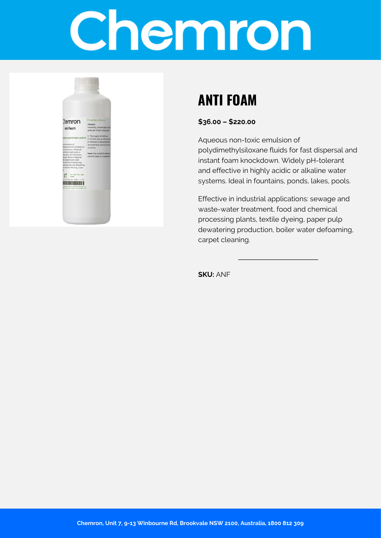# Chemron



## **ANTI FOAM**

**\$36.00 – \$220.00**

Aqueous non-toxic emulsion of polydimethylsiloxane fluids for fast dispersal and instant foam knockdown. Widely pH-tolerant and effective in highly acidic or alkaline water systems. Ideal in fountains, ponds, lakes, pools.

Effective in industrial applications: sewage and waste-water treatment, food and chemical processing plants, textile dyeing, paper pulp dewatering production, boiler water defoaming, carpet cleaning.

**SKU:** ANF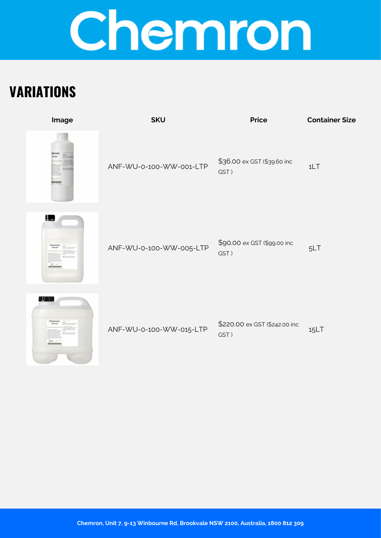# Chemron

## **VARIATIONS**

| Image                  | <b>SKU</b>              | <b>Price</b>                          | <b>Container Size</b> |
|------------------------|-------------------------|---------------------------------------|-----------------------|
| Demror                 | ANF-WU-0-100-WW-001-LTP | \$36.00 ex GST (\$39.60 inc<br>GST)   | 1LT                   |
| ļ.,<br>Chemron<br>SIT. | ANF-WU-0-100-WW-005-LTP | \$90.00 ex GST (\$99.00 inc<br>GST)   | 5LT                   |
| u u<br>Chemro          | ANF-WU-0-100-WW-015-LTP | \$220.00 ex GST (\$242.00 inc<br>GST) | 15LT                  |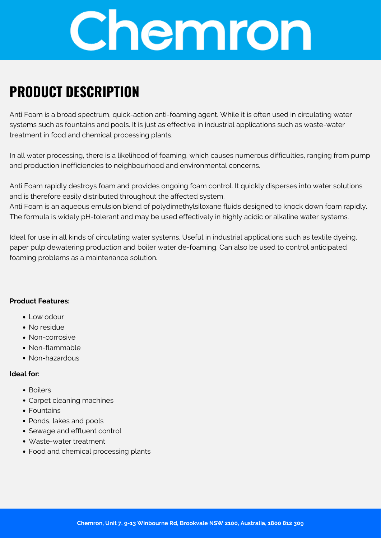

## **PRODUCT DESCRIPTION**

Anti Foam is a broad spectrum, quick-action anti-foaming agent. While it is often used in circulating water systems such as fountains and pools. It is just as effective in industrial applications such as waste-water treatment in food and chemical processing plants.

In all water processing, there is a likelihood of foaming, which causes numerous difficulties, ranging from pump and production inefficiencies to neighbourhood and environmental concerns.

Anti Foam rapidly destroys foam and provides ongoing foam control. It quickly disperses into water solutions and is therefore easily distributed throughout the affected system.

Anti Foam is an aqueous emulsion blend of polydimethylsiloxane fluids designed to knock down foam rapidly. The formula is widely pH-tolerant and may be used effectively in highly acidic or alkaline water systems.

Ideal for use in all kinds of circulating water systems. Useful in industrial applications such as textile dyeing, paper pulp dewatering production and boiler water de-foaming. Can also be used to control anticipated foaming problems as a maintenance solution.

#### **Product Features:**

- Low odour
- No residue
- Non-corrosive
- Non-flammable
- Non-hazardous

#### **Ideal for:**

- Boilers
- Carpet cleaning machines
- Fountains
- Ponds, lakes and pools
- Sewage and effluent control
- Waste-water treatment
- Food and chemical processing plants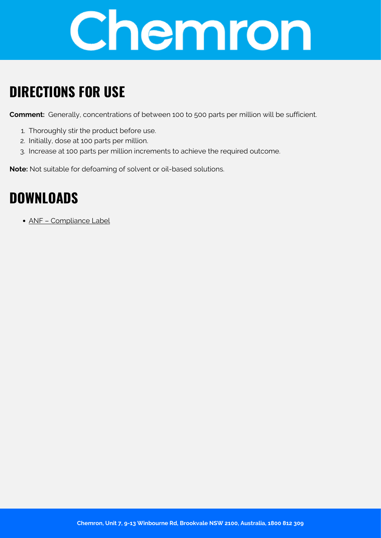

## **DIRECTIONS FOR USE**

**Comment:** Generally, concentrations of between 100 to 500 parts per million will be sufficient.

- 1. Thoroughly stir the product before use.
- 2. Initially, dose at 100 parts per million.
- 3. Increase at 100 parts per million increments to achieve the required outcome.

**Note:** Not suitable for defoaming of solvent or oil-based solutions.

### **DOWNLOADS**

[ANF – Compliance Label](https://chemron.com.au/product-label/ANF - Compliance Label.pdf)